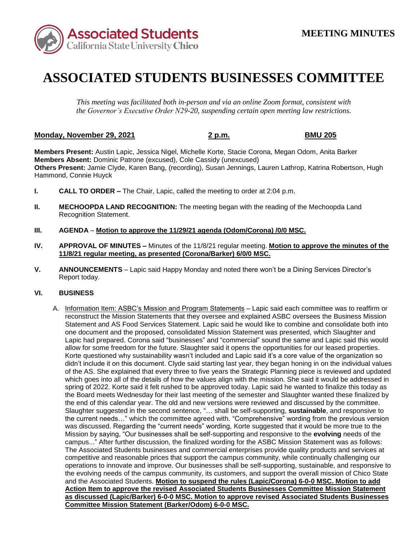

# **ASSOCIATED STUDENTS BUSINESSES COMMITTEE**

*This meeting was facilitated both in-person and via an online Zoom format, consistent with the Governor's Executive Order N29-20, suspending certain open meeting law restrictions.* 

## **Monday, November 29, 2021 2 p.m. BMU 205**

**Members Present:** Austin Lapic, Jessica Nigel, Michelle Korte, Stacie Corona, Megan Odom, Anita Barker **Members Absent:** Dominic Patrone (excused), Cole Cassidy (unexcused) **Others Present:** Jamie Clyde, Karen Bang, (recording), Susan Jennings, Lauren Lathrop, Katrina Robertson, Hugh Hammond, Connie Huyck

- **I. CALL TO ORDER –** The Chair, Lapic, called the meeting to order at 2:04 p.m.
- **II. MECHOOPDA LAND RECOGNITION:** The meeting began with the reading of the Mechoopda Land Recognition Statement.
- **III. AGENDA Motion to approve the 11/29/21 agenda (Odom/Corona) /0/0 MSC.**
- **IV. APPROVAL OF MINUTES –** Minutes of the 11/8/21 regular meeting. **Motion to approve the minutes of the 11/8/21 regular meeting, as presented (Corona/Barker) 6/0/0 MSC.**
- **V. ANNOUNCEMENTS**  Lapic said Happy Monday and noted there won't be a Dining Services Director's Report today.

## **VI. BUSINESS**

 reconstruct the Mission Statements that they oversee and explained ASBC oversees the Business Mission didn't include it on this document. Clyde said starting last year, they began honing in on the individual values which goes into all of the details of how the values align with the mission. She said it would be addressed in spring of 2022. Korte said it felt rushed to be approved today. Lapic said he wanted to finalize this today as the current needs…" which the committee agreed with. "Comprehensive" wording from the previous version operations to innovate and improve. Our businesses shall be self-supporting, sustainable, and responsive to and the Associated Students. **Motion to suspend the rules (Lapic/Corona) 6-0-0 MSC. Motion to add**  A. Information Item: ASBC's Mission and Program Statements – Lapic said each committee was to reaffirm or Statement and AS Food Services Statement. Lapic said he would like to combine and consolidate both into one document and the proposed, consolidated Mission Statement was presented, which Slaughter and Lapic had prepared. Corona said "businesses" and "commercial" sound the same and Lapic said this would allow for some freedom for the future. Slaughter said it opens the opportunities for our leased properties. Korte questioned why sustainability wasn't included and Lapic said it's a core value of the organization so of the AS. She explained that every three to five years the Strategic Planning piece is reviewed and updated the Board meets Wednesday for their last meeting of the semester and Slaughter wanted these finalized by the end of this calendar year. The old and new versions were reviewed and discussed by the committee. Slaughter suggested in the second sentence, "… shall be self-supporting, **sustainable**, and responsive to was discussed. Regarding the "current needs" wording, Korte suggested that it would be more true to the Mission by saying, "Our businesses shall be self-supporting and responsive to the **evolving** needs of the campus..." After further discussion, the finalized wording for the ASBC Mission Statement was as follows: The Associated Students businesses and commercial enterprises provide quality products and services at competitive and reasonable prices that support the campus community, while continually challenging our the evolving needs of the campus community, its customers, and support the overall mission of Chico State **Action Item to approve the revised Associated Students Businesses Committee Mission Statement as discussed (Lapic/Barker) 6-0-0 MSC. Motion to approve revised Associated Students Businesses Committee Mission Statement (Barker/Odom) 6-0-0 MSC.**